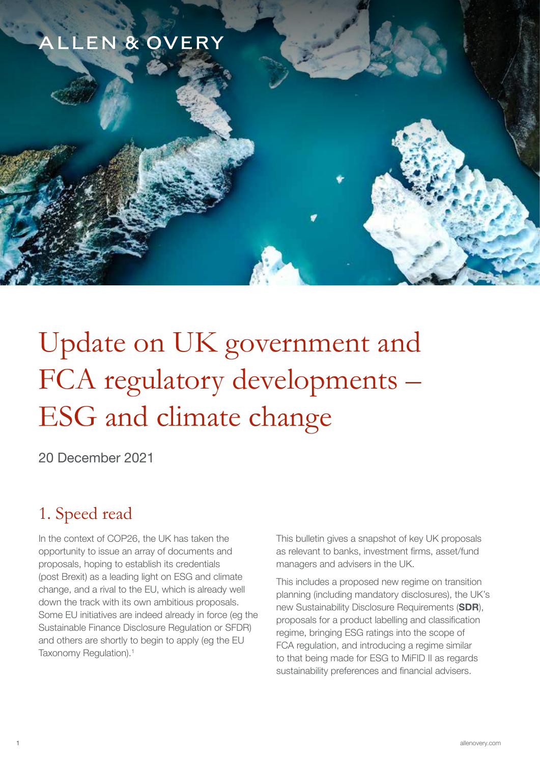## ALLEN & OVERY

# Update on UK government and FCA regulatory developments – ESG and climate change

20 December 2021

## 1. Speed read

In the context of COP26, the UK has taken the opportunity to issue an array of documents and proposals, hoping to establish its credentials (post Brexit) as a leading light on ESG and climate change, and a rival to the EU, which is already well down the track with its own ambitious proposals. Some EU initiatives are indeed already in force (eg the Sustainable Finance Disclosure Regulation or SFDR) and others are shortly to begin to apply (eg the EU Taxonomy Regulation).<sup>1</sup>

This bulletin gives a snapshot of key UK proposals as relevant to banks, investment firms, asset/fund managers and advisers in the UK.

This includes a proposed new regime on transition planning (including mandatory disclosures), the UK's new Sustainability Disclosure Requirements (SDR), proposals for a product labelling and classification regime, bringing ESG ratings into the scope of FCA regulation, and introducing a regime similar to that being made for ESG to MiFID II as regards sustainability preferences and financial advisers.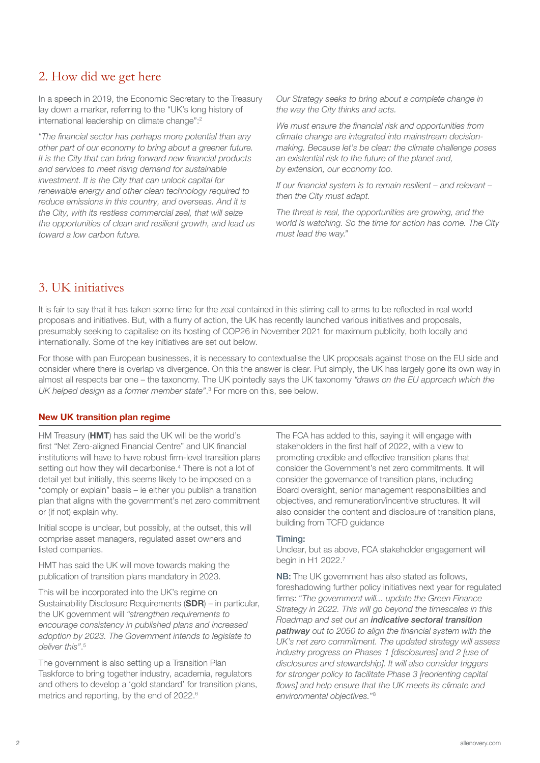## 2. How did we get here

In a speech in 2019, the Economic Secretary to the Treasury lay down a marker, referring to the "UK's long history of international leadership on climate change":2

"The financial sector has perhaps more potential than any other part of our economy to bring about a greener future. It is the City that can bring forward new financial products and services to meet rising demand for sustainable investment. It is the City that can unlock capital for renewable energy and other clean technology required to reduce emissions in this country, and overseas. And it is the City, with its restless commercial zeal, that will seize the opportunities of clean and resilient growth, and lead us toward a low carbon future.

Our Strategy seeks to bring about a complete change in the way the City thinks and acts.

We must ensure the financial risk and opportunities from climate change are integrated into mainstream decisionmaking. Because let's be clear: the climate challenge poses an existential risk to the future of the planet and, by extension, our economy too.

If our financial system is to remain resilient – and relevant – then the City must adapt.

The threat is real, the opportunities are growing, and the world is watching. So the time for action has come. The City must lead the way."

## 3. UK initiatives

It is fair to say that it has taken some time for the zeal contained in this stirring call to arms to be reflected in real world proposals and initiatives. But, with a flurry of action, the UK has recently launched various initiatives and proposals, presumably seeking to capitalise on its hosting of COP26 in November 2021 for maximum publicity, both locally and internationally. Some of the key initiatives are set out below.

For those with pan European businesses, it is necessary to contextualise the UK proposals against those on the EU side and consider where there is overlap vs divergence. On this the answer is clear. Put simply, the UK has largely gone its own way in almost all respects bar one – the taxonomy. The UK pointedly says the UK taxonomy "draws on the EU approach which the UK helped design as a former member state". 3 For more on this, see below.

#### New UK transition plan regime

HM Treasury (HMT) has said the UK will be the world's first "Net Zero-aligned Financial Centre" and UK financial institutions will have to have robust firm-level transition plans setting out how they will decarbonise.<sup>4</sup> There is not a lot of detail yet but initially, this seems likely to be imposed on a "comply or explain" basis – ie either you publish a transition plan that aligns with the government's net zero commitment or (if not) explain why.

Initial scope is unclear, but possibly, at the outset, this will comprise asset managers, regulated asset owners and listed companies.

HMT has said the UK will move towards making the publication of transition plans mandatory in 2023.

This will be incorporated into the UK's regime on Sustainability Disclosure Requirements (SDR) – in particular, the UK government will "strengthen requirements to encourage consistency in published plans and increased adoption by 2023. The Government intends to legislate to deliver this". 5

The government is also setting up a Transition Plan Taskforce to bring together industry, academia, regulators and others to develop a 'gold standard' for transition plans, metrics and reporting, by the end of 2022.6

The FCA has added to this, saying it will engage with stakeholders in the first half of 2022, with a view to promoting credible and effective transition plans that consider the Government's net zero commitments. It will consider the governance of transition plans, including Board oversight, senior management responsibilities and objectives, and remuneration/incentive structures. It will also consider the content and disclosure of transition plans, building from TCFD guidance

#### Timing:

Unclear, but as above, FCA stakeholder engagement will begin in H1 2022.7

NB: The UK government has also stated as follows, foreshadowing further policy initiatives next year for regulated firms: "The government will... update the Green Finance Strategy in 2022. This will go beyond the timescales in this Roadmap and set out an *indicative sectoral transition pathway* out to 2050 to align the financial system with the UK's net zero commitment. The updated strategy will assess industry progress on Phases 1 [disclosures] and 2 [use of disclosures and stewardship]. It will also consider triggers for stronger policy to facilitate Phase 3 [reorienting capital flows] and help ensure that the UK meets its climate and environmental objectives."8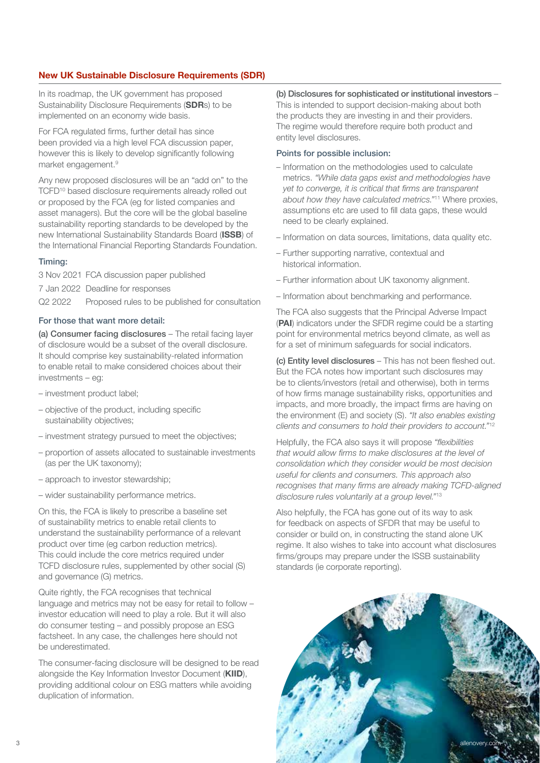#### New UK Sustainable Disclosure Requirements (SDR)

In its roadmap, the UK government has proposed Sustainability Disclosure Requirements (SDRs) to be implemented on an economy wide basis.

For FCA regulated firms, further detail has since been provided via a high level FCA discussion paper, however this is likely to develop significantly following market engagement.<sup>9</sup>

Any new proposed disclosures will be an "add on" to the TCFD<sup>10</sup> based disclosure requirements already rolled out or proposed by the FCA (eg for listed companies and asset managers). But the core will be the global baseline sustainability reporting standards to be developed by the new International Sustainability Standards Board (ISSB) of the International Financial Reporting Standards Foundation.

#### Timing:

3 Nov 2021 FCA discussion paper published

7 Jan 2022 Deadline for responses

Q2 2022 Proposed rules to be published for consultation

#### For those that want more detail:

(a) Consumer facing disclosures - The retail facing layer of disclosure would be a subset of the overall disclosure. It should comprise key sustainability-related information to enable retail to make considered choices about their investments – eg:

- investment product label;
- objective of the product, including specific sustainability objectives;
- investment strategy pursued to meet the objectives;
- proportion of assets allocated to sustainable investments (as per the UK taxonomy);
- approach to investor stewardship;
- wider sustainability performance metrics.

On this, the FCA is likely to prescribe a baseline set of sustainability metrics to enable retail clients to understand the sustainability performance of a relevant product over time (eg carbon reduction metrics). This could include the core metrics required under TCFD disclosure rules, supplemented by other social (S) and governance (G) metrics.

Quite rightly, the FCA recognises that technical language and metrics may not be easy for retail to follow – investor education will need to play a role. But it will also do consumer testing – and possibly propose an ESG factsheet. In any case, the challenges here should not be underestimated.

The consumer-facing disclosure will be designed to be read alongside the Key Information Investor Document (KIID), providing additional colour on ESG matters while avoiding duplication of information.

(b) Disclosures for sophisticated or institutional investors – This is intended to support decision-making about both the products they are investing in and their providers. The regime would therefore require both product and entity level disclosures.

#### Points for possible inclusion:

- Information on the methodologies used to calculate metrics. "While data gaps exist and methodologies have yet to converge, it is critical that firms are transparent about how they have calculated metrics."11 Where proxies, assumptions etc are used to fill data gaps, these would need to be clearly explained.
- Information on data sources, limitations, data quality etc.
- Further supporting narrative, contextual and historical information.
- Further information about UK taxonomy alignment.
- Information about benchmarking and performance.

The FCA also suggests that the Principal Adverse Impact (PAI) indicators under the SFDR regime could be a starting point for environmental metrics beyond climate, as well as for a set of minimum safeguards for social indicators.

(c) Entity level disclosures – This has not been fleshed out. But the FCA notes how important such disclosures may be to clients/investors (retail and otherwise), both in terms of how firms manage sustainability risks, opportunities and impacts, and more broadly, the impact firms are having on the environment (E) and society (S). "It also enables existing clients and consumers to hold their providers to account."<sup>12</sup>

Helpfully, the FCA also says it will propose "flexibilities that would allow firms to make disclosures at the level of consolidation which they consider would be most decision useful for clients and consumers. This approach also recognises that many firms are already making TCFD-aligned disclosure rules voluntarily at a group level."<sup>13</sup>

Also helpfully, the FCA has gone out of its way to ask for feedback on aspects of SFDR that may be useful to consider or build on, in constructing the stand alone UK regime. It also wishes to take into account what disclosures firms/groups may prepare under the ISSB sustainability standards (ie corporate reporting).

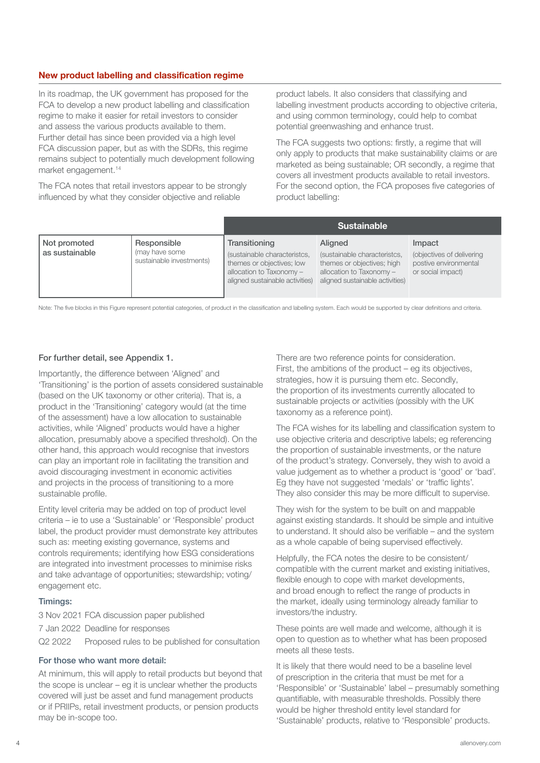#### New product labelling and classification regime

In its roadmap, the UK government has proposed for the FCA to develop a new product labelling and classification regime to make it easier for retail investors to consider and assess the various products available to them. Further detail has since been provided via a high level FCA discussion paper, but as with the SDRs, this regime remains subject to potentially much development following market engagement.14

The FCA notes that retail investors appear to be strongly influenced by what they consider objective and reliable

product labels. It also considers that classifying and labelling investment products according to objective criteria, and using common terminology, could help to combat potential greenwashing and enhance trust.

The FCA suggests two options: firstly, a regime that will only apply to products that make sustainability claims or are marketed as being sustainable; OR secondly, a regime that covers all investment products available to retail investors. For the second option, the FCA proposes five categories of product labelling:

|                                |                                                           | <b>Sustainable</b>                                                                                                                        |                                                                                                                                      |                                                                                   |
|--------------------------------|-----------------------------------------------------------|-------------------------------------------------------------------------------------------------------------------------------------------|--------------------------------------------------------------------------------------------------------------------------------------|-----------------------------------------------------------------------------------|
| Not promoted<br>as sustainable | Responsible<br>(may have some<br>sustainable investments) | Transitioning<br>(sustainable characteristcs,<br>themes or objectives; low<br>allocation to Taxonomy -<br>aligned sustainable activities) | Aligned<br>(sustainable characteristcs,<br>themes or objectives; high<br>allocation to Taxonomy -<br>aligned sustainable activities) | Impact<br>(objectives of delivering<br>postive environmental<br>or social impact) |

Note: The five blocks in this Figure represent potential categories, of product in the classification and labelling system. Each would be supported by clear definitions and criteria.

#### For further detail, see Appendix 1.

Importantly, the difference between 'Aligned' and 'Transitioning' is the portion of assets considered sustainable (based on the UK taxonomy or other criteria). That is, a product in the 'Transitioning' category would (at the time of the assessment) have a low allocation to sustainable activities, while 'Aligned' products would have a higher allocation, presumably above a specified threshold). On the other hand, this approach would recognise that investors can play an important role in facilitating the transition and avoid discouraging investment in economic activities and projects in the process of transitioning to a more sustainable profile.

Entity level criteria may be added on top of product level criteria – ie to use a 'Sustainable' or 'Responsible' product label, the product provider must demonstrate key attributes such as: meeting existing governance, systems and controls requirements; identifying how ESG considerations are integrated into investment processes to minimise risks and take advantage of opportunities; stewardship; voting/ engagement etc.

#### Timings:

3 Nov 2021 FCA discussion paper published 7 Jan 2022 Deadline for responses Q2 2022 Proposed rules to be published for consultation

#### For those who want more detail:

At minimum, this will apply to retail products but beyond that the scope is unclear – eg it is unclear whether the products covered will just be asset and fund management products or if PRIIPs, retail investment products, or pension products may be in-scope too.

There are two reference points for consideration. First, the ambitions of the product – eg its objectives, strategies, how it is pursuing them etc. Secondly, the proportion of its investments currently allocated to sustainable projects or activities (possibly with the UK taxonomy as a reference point).

The FCA wishes for its labelling and classification system to use objective criteria and descriptive labels; eg referencing the proportion of sustainable investments, or the nature of the product's strategy. Conversely, they wish to avoid a value judgement as to whether a product is 'good' or 'bad'. Eg they have not suggested 'medals' or 'traffic lights'. They also consider this may be more difficult to supervise.

They wish for the system to be built on and mappable against existing standards. It should be simple and intuitive to understand. It should also be verifiable – and the system as a whole capable of being supervised effectively.

Helpfully, the FCA notes the desire to be consistent/ compatible with the current market and existing initiatives, flexible enough to cope with market developments, and broad enough to reflect the range of products in the market, ideally using terminology already familiar to investors/the industry.

These points are well made and welcome, although it is open to question as to whether what has been proposed meets all these tests.

It is likely that there would need to be a baseline level of prescription in the criteria that must be met for a 'Responsible' or 'Sustainable' label – presumably something quantifiable, with measurable thresholds. Possibly there would be higher threshold entity level standard for 'Sustainable' products, relative to 'Responsible' products.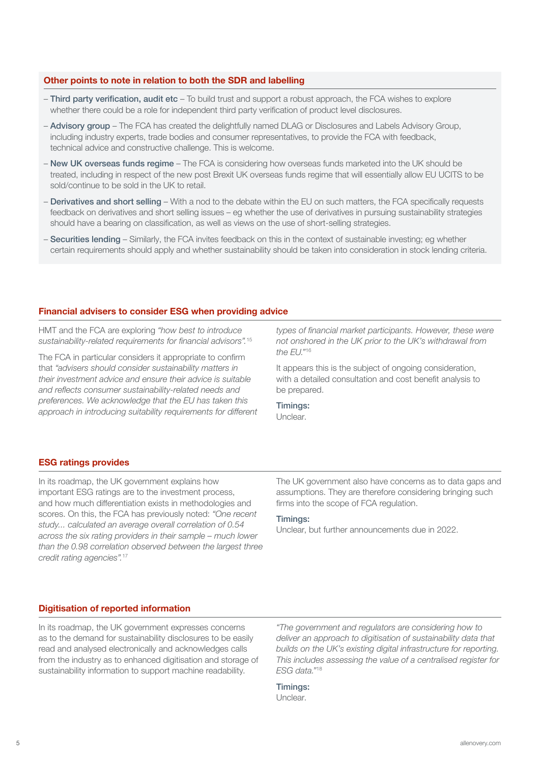#### Other points to note in relation to both the SDR and labelling

- Third party verification, audit etc To build trust and support a robust approach, the FCA wishes to explore whether there could be a role for independent third party verification of product level disclosures.
- Advisory group The FCA has created the delightfully named DLAG or Disclosures and Labels Advisory Group, including industry experts, trade bodies and consumer representatives, to provide the FCA with feedback, technical advice and constructive challenge. This is welcome.
- New UK overseas funds regime The FCA is considering how overseas funds marketed into the UK should be treated, including in respect of the new post Brexit UK overseas funds regime that will essentially allow EU UCITS to be sold/continue to be sold in the UK to retail.
- Derivatives and short selling With a nod to the debate within the EU on such matters, the FCA specifically requests feedback on derivatives and short selling issues – eg whether the use of derivatives in pursuing sustainability strategies should have a bearing on classification, as well as views on the use of short-selling strategies.
- Securities lending Similarly, the FCA invites feedback on this in the context of sustainable investing; eg whether certain requirements should apply and whether sustainability should be taken into consideration in stock lending criteria.

#### Financial advisers to consider ESG when providing advice

HMT and the FCA are exploring "how best to introduce sustainability-related requirements for financial advisors".<sup>15</sup>

The FCA in particular considers it appropriate to confirm that "advisers should consider sustainability matters in their investment advice and ensure their advice is suitable and reflects consumer sustainability-related needs and preferences. We acknowledge that the EU has taken this approach in introducing suitability requirements for different types of financial market participants. However, these were not onshored in the UK prior to the UK's withdrawal from the EU."<sup>16</sup>

It appears this is the subject of ongoing consideration, with a detailed consultation and cost benefit analysis to be prepared.

Timings: Unclear.

#### ESG ratings provides

In its roadmap, the UK government explains how important ESG ratings are to the investment process, and how much differentiation exists in methodologies and scores. On this, the FCA has previously noted: "One recent study... calculated an average overall correlation of 0.54 across the six rating providers in their sample – much lower than the 0.98 correlation observed between the largest three credit rating agencies".<sup>17</sup>

The UK government also have concerns as to data gaps and assumptions. They are therefore considering bringing such firms into the scope of FCA regulation.

#### Timings:

Unclear, but further announcements due in 2022.

#### Digitisation of reported information

In its roadmap, the UK government expresses concerns as to the demand for sustainability disclosures to be easily read and analysed electronically and acknowledges calls from the industry as to enhanced digitisation and storage of sustainability information to support machine readability.

"The government and regulators are considering how to deliver an approach to digitisation of sustainability data that builds on the UK's existing digital infrastructure for reporting. This includes assessing the value of a centralised register for ESG data."<sup>18</sup>

Timings: Unclear.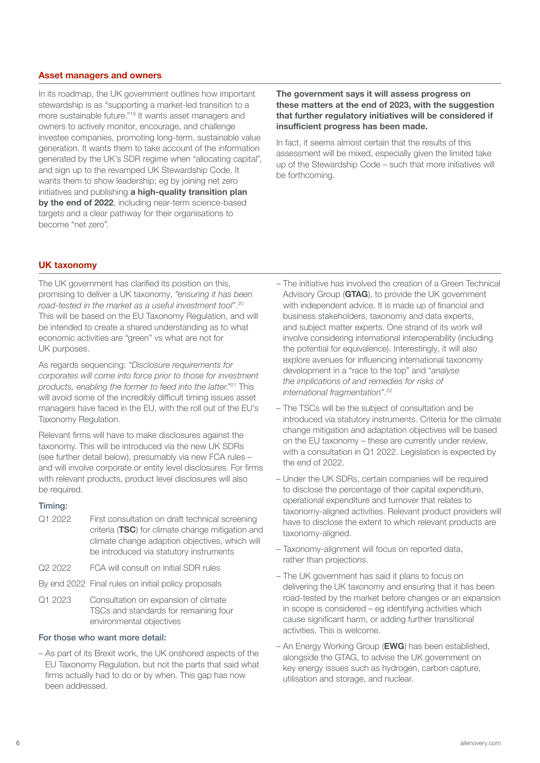#### Asset managers and owners

In its roadmap, the UK government outlines how important stewardship is as "supporting a market-led transition to a more sustainable future."19 It wants asset managers and owners to actively monitor, encourage, and challenge investee companies, promoting long-term, sustainable value generation. It wants them to take account of the information generated by the UK's SDR regime when "allocating capital", and sign up to the revamped UK Stewardship Code. It wants them to show leadership; eg by joining net zero initiatives and publishing a high-quality transition plan by the end of 2022, including near-term science-based targets and a clear pathway for their organisations to become "net zero".

The government says it will assess progress on these matters at the end of 2023, with the suggestion that further regulatory initiatives will be considered if insufficient progress has been made.

In fact, it seems almost certain that the results of this assessment will be mixed, especially given the limited take up of the Stewardship Code – such that more initiatives will be forthcoming.

#### UK taxonomy

The UK government has clarified its position on this, promising to deliver a UK taxonomy, "ensuring it has been road-tested in the market as a useful investment tool". 20 This will be based on the EU Taxonomy Regulation, and will be intended to create a shared understanding as to what economic activities are "green" vs what are not for UK purposes.

As regards sequencing: "Disclosure requirements for corporates will come into force prior to those for investment products, enabling the former to feed into the latter."21 This will avoid some of the incredibly difficult timing issues asset managers have faced in the EU, with the roll out of the EU's Taxonomy Regulation.

Relevant firms will have to make disclosures against the taxonomy. This will be introduced via the new UK SDRs (see further detail below), presumably via new FCA rules – and will involve corporate or entity level disclosures. For firms with relevant products, product level disclosures will also be required.

#### Timing:

- Q1 2022 First consultation on draft technical screening criteria (TSC) for climate change mitigation and climate change adaption objectives, which will be introduced via statutory instruments
- Q2 2022 FCA will consult on initial SDR rules
- By end 2022 Final rules on initial policy proposals
- Q1 2023 Consultation on expansion of climate TSCs and standards for remaining four environmental objectives

#### For those who want more detail:

– As part of its Brexit work, the UK onshored aspects of the EU Taxonomy Regulation, but not the parts that said what firms actually had to do or by when. This gap has now been addressed.

- The initiative has involved the creation of a Green Technical Advisory Group (GTAG), to provide the UK government with independent advice. It is made up of financial and business stakeholders, taxonomy and data experts, and subject matter experts. One strand of its work will involve considering international interoperability (including the potential for equivalence). Interestingly, it will also explore avenues for influencing international taxonomy development in a "race to the top" and "analyse the implications of and remedies for risks of international fragmentation". 22
- The TSCs will be the subject of consultation and be introduced via statutory instruments. Criteria for the climate change mitigation and adaptation objectives will be based on the EU taxonomy – these are currently under review, with a consultation in Q1 2022. Legislation is expected by the end of 2022.
- Under the UK SDRs, certain companies will be required to disclose the percentage of their capital expenditure, operational expenditure and turnover that relates to taxonomy-aligned activities. Relevant product providers will have to disclose the extent to which relevant products are taxonomy-aligned.
- Taxonomy-alignment will focus on reported data, rather than projections.
- The UK government has said it plans to focus on delivering the UK taxonomy and ensuring that it has been road-tested by the market before changes or an expansion in scope is considered – eg identifying activities which cause significant harm, or adding further transitional activities. This is welcome.
- An Energy Working Group (EWG) has been established, alongside the GTAG, to advise the UK government on key energy issues such as hydrogen, carbon capture, utilisation and storage, and nuclear.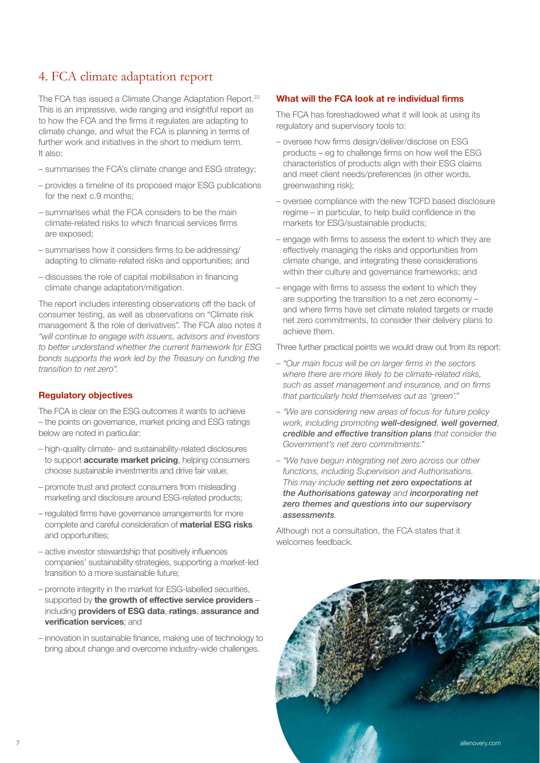## 4. FCA climate adaptation report

The FCA has issued a Climate Change Adaptation Report.<sup>23</sup> This is an impressive, wide ranging and insightful report as to how the FCA and the firms it regulates are adapting to climate change, and what the FCA is planning in terms of further work and initiatives in the short to medium term. It also:

- summarises the FCA's climate change and ESG strategy;
- provides a timeline of its proposed major ESG publications for the next c.9 months;
- summarises what the FCA considers to be the main climate-related risks to which financial services firms are exposed;
- summarises how it considers firms to be addressing/ adapting to climate-related risks and opportunities; and
- discusses the role of capital mobilisation in financing climate change adaptation/mitigation.

The report includes interesting observations off the back of consumer testing, as well as observations on "Climate risk management & the role of derivatives". The FCA also notes it "will continue to engage with issuers, advisors and investors to better understand whether the current framework for ESG bonds supports the work led by the Treasury on funding the transition to net zero".

#### Regulatory objectives

The FCA is clear on the ESG outcomes it wants to achieve – the points on governance, market pricing and ESG ratings below are noted in particular:

- high-quality climate- and sustainability-related disclosures to support **accurate market pricing**, helping consumers choose sustainable investments and drive fair value;
- promote trust and protect consumers from misleading marketing and disclosure around ESG-related products;
- regulated firms have governance arrangements for more complete and careful consideration of material ESG risks and opportunities;
- active investor stewardship that positively influences companies' sustainability strategies, supporting a market-led transition to a more sustainable future;
- promote integrity in the market for ESG-labelled securities, supported by the growth of effective service providers including providers of ESG data, ratings, assurance and verification services; and
- innovation in sustainable finance, making use of technology to bring about change and overcome industry-wide challenges.

#### What will the FCA look at re individual firms

The FCA has foreshadowed what it will look at using its regulatory and supervisory tools to:

- oversee how firms design/deliver/disclose on ESG products – eg to challenge firms on how well the ESG characteristics of products align with their ESG claims and meet client needs/preferences (in other words, greenwashing risk);
- oversee compliance with the new TCFD based disclosure regime – in particular, to help build confidence in the markets for ESG/sustainable products;
- engage with firms to assess the extent to which they are effectively managing the risks and opportunities from climate change, and integrating these considerations within their culture and governance frameworks; and
- engage with firms to assess the extent to which they are supporting the transition to a net zero economy – and where firms have set climate related targets or made net zero commitments, to consider their delivery plans to achieve them.

Three further practical points we would draw out from its report:

- "Our main focus will be on larger firms in the sectors where there are more likely to be climate-related risks, such as asset management and insurance, and on firms that particularly hold themselves out as 'green'."
- "We are considering new areas of focus for future policy work, including promoting *well-designed*, *well governed*, credible and effective transition plans that consider the Government's net zero commitments."
- "We have begun integrating net zero across our other functions, including Supervision and Authorisations. This may include *setting net zero expectations at the Authorisations gateway* and *incorporating net zero themes and questions into our supervisory assessments*.

Although not a consultation, the FCA states that it welcomes feedback.

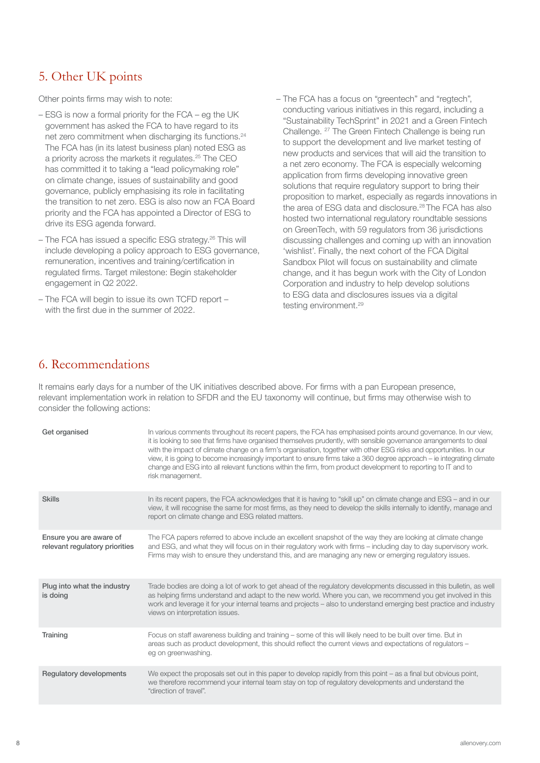## 5. Other UK points

Other points firms may wish to note:

- ESG is now a formal priority for the FCA eg the UK government has asked the FCA to have regard to its net zero commitment when discharging its functions.24 The FCA has (in its latest business plan) noted ESG as a priority across the markets it regulates.25 The CEO has committed it to taking a "lead policymaking role" on climate change, issues of sustainability and good governance, publicly emphasising its role in facilitating the transition to net zero. ESG is also now an FCA Board priority and the FCA has appointed a Director of ESG to drive its ESG agenda forward.
- The FCA has issued a specific ESG strategy.26 This will include developing a policy approach to ESG governance, remuneration, incentives and training/certification in regulated firms. Target milestone: Begin stakeholder engagement in Q2 2022.
- The FCA will begin to issue its own TCFD report with the first due in the summer of 2022.
- The FCA has a focus on "greentech" and "regtech", conducting various initiatives in this regard, including a "Sustainability TechSprint" in 2021 and a Green Fintech Challenge. 27 The Green Fintech Challenge is being run to support the development and live market testing of new products and services that will aid the transition to a net zero economy. The FCA is especially welcoming application from firms developing innovative green solutions that require regulatory support to bring their proposition to market, especially as regards innovations in the area of ESG data and disclosure.<sup>28</sup> The FCA has also hosted two international regulatory roundtable sessions on GreenTech, with 59 regulators from 36 jurisdictions discussing challenges and coming up with an innovation 'wishlist'. Finally, the next cohort of the FCA Digital Sandbox Pilot will focus on sustainability and climate change, and it has begun work with the City of London Corporation and industry to help develop solutions to ESG data and disclosures issues via a digital testing environment.<sup>29</sup>

## 6. Recommendations

It remains early days for a number of the UK initiatives described above. For firms with a pan European presence, relevant implementation work in relation to SFDR and the EU taxonomy will continue, but firms may otherwise wish to consider the following actions:

| Get organised                                             | In various comments throughout its recent papers, the FCA has emphasised points around governance. In our view,<br>it is looking to see that firms have organised themselves prudently, with sensible governance arrangements to deal<br>with the impact of climate change on a firm's organisation, together with other ESG risks and opportunities. In our<br>view, it is going to become increasingly important to ensure firms take a 360 degree approach – ie integrating climate<br>change and ESG into all relevant functions within the firm, from product development to reporting to IT and to<br>risk management. |
|-----------------------------------------------------------|------------------------------------------------------------------------------------------------------------------------------------------------------------------------------------------------------------------------------------------------------------------------------------------------------------------------------------------------------------------------------------------------------------------------------------------------------------------------------------------------------------------------------------------------------------------------------------------------------------------------------|
| <b>Skills</b>                                             | In its recent papers, the FCA acknowledges that it is having to "skill up" on climate change and ESG – and in our<br>view, it will recognise the same for most firms, as they need to develop the skills internally to identify, manage and<br>report on climate change and ESG related matters.                                                                                                                                                                                                                                                                                                                             |
| Ensure you are aware of<br>relevant regulatory priorities | The FCA papers referred to above include an excellent snapshot of the way they are looking at climate change<br>and ESG, and what they will focus on in their requlatory work with firms – including day to day supervisory work.<br>Firms may wish to ensure they understand this, and are managing any new or emerging regulatory issues.                                                                                                                                                                                                                                                                                  |
| Plug into what the industry<br>is doing                   | Trade bodies are doing a lot of work to get ahead of the regulatory developments discussed in this bulletin, as well<br>as helping firms understand and adapt to the new world. Where you can, we recommend you get involved in this<br>work and leverage it for your internal teams and projects - also to understand emerging best practice and industry<br>views on interpretation issues.                                                                                                                                                                                                                                |
| Training                                                  | Focus on staff awareness building and training – some of this will likely need to be built over time. But in<br>areas such as product development, this should reflect the current views and expectations of regulators -<br>eg on greenwashing.                                                                                                                                                                                                                                                                                                                                                                             |
| Regulatory developments                                   | We expect the proposals set out in this paper to develop rapidly from this point – as a final but obvious point,<br>we therefore recommend your internal team stay on top of requlatory developments and understand the<br>"direction of travel".                                                                                                                                                                                                                                                                                                                                                                            |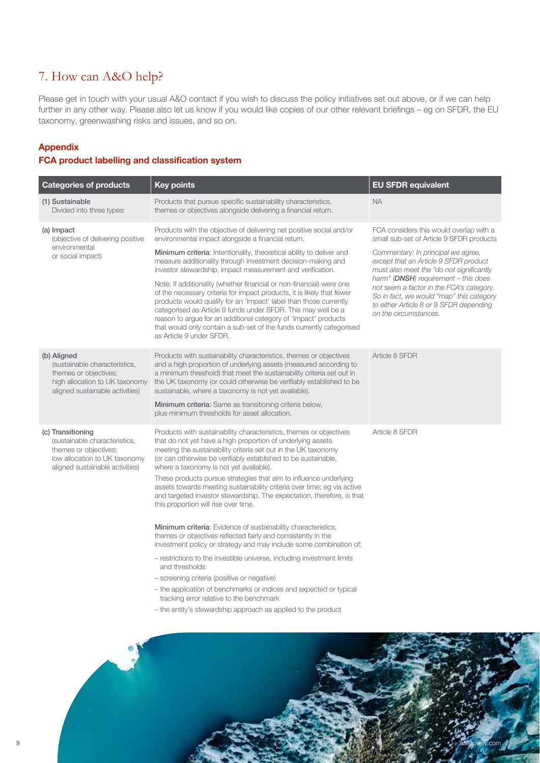## 7. How can A&O help?

Please get in touch with your usual A&O contact if you wish to discuss the policy initiatives set out above, or if we can help further in any other way. Please also let us know if you would like copies of our other relevant briefings – eg on SFDR, the EU taxonomy, greenwashing risks and issues, and so on.

#### Appendix

#### FCA product labelling and classification system

| <b>Categories of products</b>                                                                                                                   | <b>Key points</b>                                                                                                                                                                                                                                                                                                                                                                                                                                                                                                                                                                  | <b>EU SFDR equivalent</b>                                                                                                                                       |  |
|-------------------------------------------------------------------------------------------------------------------------------------------------|------------------------------------------------------------------------------------------------------------------------------------------------------------------------------------------------------------------------------------------------------------------------------------------------------------------------------------------------------------------------------------------------------------------------------------------------------------------------------------------------------------------------------------------------------------------------------------|-----------------------------------------------------------------------------------------------------------------------------------------------------------------|--|
| (1) Sustainable<br>Divided into three types:                                                                                                    | Products that pursue specific sustainability characteristics,<br>themes or objectives alongside delivering a financial return.                                                                                                                                                                                                                                                                                                                                                                                                                                                     | <b>NA</b>                                                                                                                                                       |  |
| (a) Impact<br>(objective of delivering positive<br>environmental<br>or social impact)                                                           | Products with the objective of delivering net positive social and/or<br>environmental impact alongside a financial return.                                                                                                                                                                                                                                                                                                                                                                                                                                                         | FCA considers this would overlap with a<br>small sub-set of Article 9 SFDR products                                                                             |  |
|                                                                                                                                                 | Minimum criteria: Intentionality, theoretical ability to deliver and<br>measure additionality through investment decision-making and<br>investor stewardship, impact measurement and verification.                                                                                                                                                                                                                                                                                                                                                                                 | Commentary: In principal we agree,<br>except that an Article 9 SFDR product<br>must also meet the "do not significantly<br>harm" (DNSH) requirement - this does |  |
|                                                                                                                                                 | Note: If additionality (whether financial or non-financial) were one<br>of the necessary criteria for impact products, it is likely that fewer<br>products would qualify for an 'Impact' label than those currently<br>categorised as Article 9 funds under SFDR. This may well be a<br>reason to arque for an additional category of 'Impact' products<br>that would only contain a sub-set of the funds currently categorised<br>as Article 9 under SFDR.                                                                                                                        | not seem a factor in the FCA's category.<br>So in fact, we would "map" this category<br>to either Article 8 or 9 SFDR depending<br>on the circumstances.        |  |
| (b) Aligned<br>(sustainable characteristics,<br>themes or objectives;<br>high allocation to UK taxonomy<br>aligned sustainable activities)      | Products with sustainability characteristics, themes or objectives<br>and a high proportion of underlying assets (measured according to<br>a minimum threshold) that meet the sustainability criteria set out in<br>the UK taxonomy (or could otherwise be verifiably established to be<br>sustainable, where a taxonomy is not yet available).<br>Minimum criteria: Same as transitioning criteria below,<br>plus minimum thresholds for asset allocation.                                                                                                                        | Article 8 SFDR                                                                                                                                                  |  |
| (c) Transitioning<br>(sustainable characteristics,<br>themes or objectives;<br>low allocation to UK taxonomy<br>aligned sustainable activities) | Products with sustainability characteristics, themes or objectives<br>that do not yet have a high proportion of underlying assets<br>meeting the sustainability criteria set out in the UK taxonomy<br>(or can otherwise be verifiably established to be sustainable,<br>where a taxonomy is not yet available).<br>These products pursue strategies that aim to influence underlying<br>assets towards meeting sustainability criteria over time; eg via active<br>and targeted investor stewardship. The expectation, therefore, is that<br>this proportion will rise over time. | Article 8 SFDR                                                                                                                                                  |  |
|                                                                                                                                                 | <b>Minimum criteria:</b> Evidence of sustainability characteristics,<br>themes or objectives reflected fairly and consistently in the<br>investment policy or strategy and may include some combination of:<br>- restrictions to the investible universe, including investment limits<br>and thresholds<br>- screening criteria (positive or negative)<br>- the application of benchmarks or indices and expected or typical<br>tracking error relative to the benchmark                                                                                                           |                                                                                                                                                                 |  |
|                                                                                                                                                 | - the entity's stewardship approach as applied to the product                                                                                                                                                                                                                                                                                                                                                                                                                                                                                                                      |                                                                                                                                                                 |  |